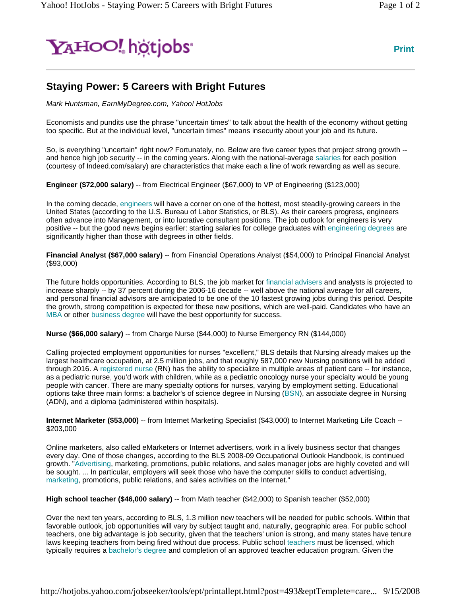## Y<sub>A</sub>HOO! hotiobs<sup>®</sup>

## **Staying Power: 5 Careers with Bright Futures**

*Mark Huntsman, EarnMyDegree.com, Yahoo! HotJobs*

Economists and pundits use the phrase "uncertain times" to talk about the health of the economy without getting too specific. But at the individual level, "uncertain times" means insecurity about your job and its future.

So, is everything "uncertain" right now? Fortunately, no. Below are five career types that project strong growth - and hence high job security -- in the coming years. Along with the national-average salaries for each position (courtesy of Indeed.com/salary) are characteristics that make each a line of work rewarding as well as secure.

**Engineer (\$72,000 salary)** -- from Electrical Engineer (\$67,000) to VP of Engineering (\$123,000)

In the coming decade, engineers will have a corner on one of the hottest, most steadily-growing careers in the United States (according to the U.S. Bureau of Labor Statistics, or BLS). As their careers progress, engineers often advance into Management, or into lucrative consultant positions. The job outlook for engineers is very positive -- but the good news begins earlier: starting salaries for college graduates with engineering degrees are significantly higher than those with degrees in other fields.

**Financial Analyst (\$67,000 salary)** -- from Financial Operations Analyst (\$54,000) to Principal Financial Analyst (\$93,000)

The future holds opportunities. According to BLS, the job market for financial advisers and analysts is projected to increase sharply -- by 37 percent during the 2006-16 decade -- well above the national average for all careers, and personal financial advisors are anticipated to be one of the 10 fastest growing jobs during this period. Despite the growth, strong competition is expected for these new positions, which are well-paid. Candidates who have an MBA or other business degree will have the best opportunity for success.

**Nurse (\$66,000 salary)** -- from Charge Nurse (\$44,000) to Nurse Emergency RN (\$144,000)

Calling projected employment opportunities for nurses "excellent," BLS details that Nursing already makes up the largest healthcare occupation, at 2.5 million jobs, and that roughly 587,000 new Nursing positions will be added through 2016. A registered nurse (RN) has the ability to specialize in multiple areas of patient care -- for instance, as a pediatric nurse, you'd work with children, while as a pediatric oncology nurse your specialty would be young people with cancer. There are many specialty options for nurses, varying by employment setting. Educational options take three main forms: a bachelor's of science degree in Nursing (BSN), an associate degree in Nursing (ADN), and a diploma (administered within hospitals).

**Internet Marketer (\$53,000)** -- from Internet Marketing Specialist (\$43,000) to Internet Marketing Life Coach -- \$203,000

Online marketers, also called eMarketers or Internet advertisers, work in a lively business sector that changes every day. One of those changes, according to the BLS 2008-09 Occupational Outlook Handbook, is continued growth. "Advertising, marketing, promotions, public relations, and sales manager jobs are highly coveted and will be sought. ... In particular, employers will seek those who have the computer skills to conduct advertising, marketing, promotions, public relations, and sales activities on the Internet."

**High school teacher (\$46,000 salary)** -- from Math teacher (\$42,000) to Spanish teacher (\$52,000)

Over the next ten years, according to BLS, 1.3 million new teachers will be needed for public schools. Within that favorable outlook, job opportunities will vary by subject taught and, naturally, geographic area. For public school teachers, one big advantage is job security, given that the teachers' union is strong, and many states have tenure laws keeping teachers from being fired without due process. Public school teachers must be licensed, which typically requires a bachelor's degree and completion of an approved teacher education program. Given the